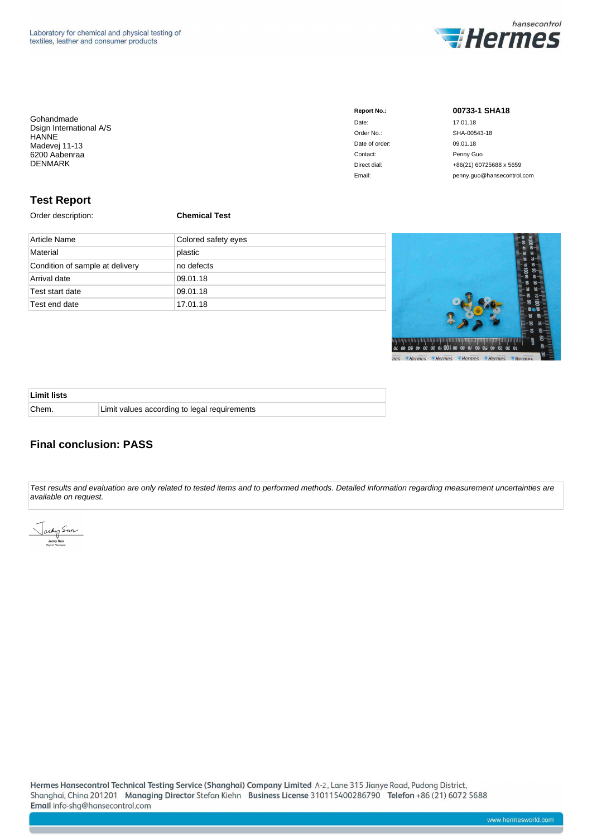

| Gohandmade              |  |
|-------------------------|--|
| Dsign International A/S |  |
| HANNE                   |  |
| Madevej 11-13           |  |
| 6200 Aabenraa           |  |
| <b>DENMARK</b>          |  |
|                         |  |

| <b>Report No.:</b> | 00733-1 SHA18              |
|--------------------|----------------------------|
| Date:              | 17.01.18                   |
| Order No.:         | SHA-00543-18               |
| Date of order:     | 09.01.18                   |
| Contact:           | Penny Guo                  |
| Direct dial:       | +86(21) 60725688 x 5659    |
| Email:             | penny.quo@hansecontrol.com |

### **Test Report**

Order description: **Chemical Test**

| Article Name                    | Colored safety eyes |
|---------------------------------|---------------------|
| Material                        | plastic             |
| Condition of sample at delivery | no defects          |
| Arrival date                    | 09.01.18            |
| Test start date                 | 09.01.18            |
| Test end date                   | 17.01.18            |



| <b>Limit lists</b> |                                              |
|--------------------|----------------------------------------------|
| Chem.              | Limit values according to legal requirements |

### **Final conclusion: PASS**

Test results and evaluation are only related to tested items and to performed methods. Detailed information regarding measurement uncertainties are available on request.

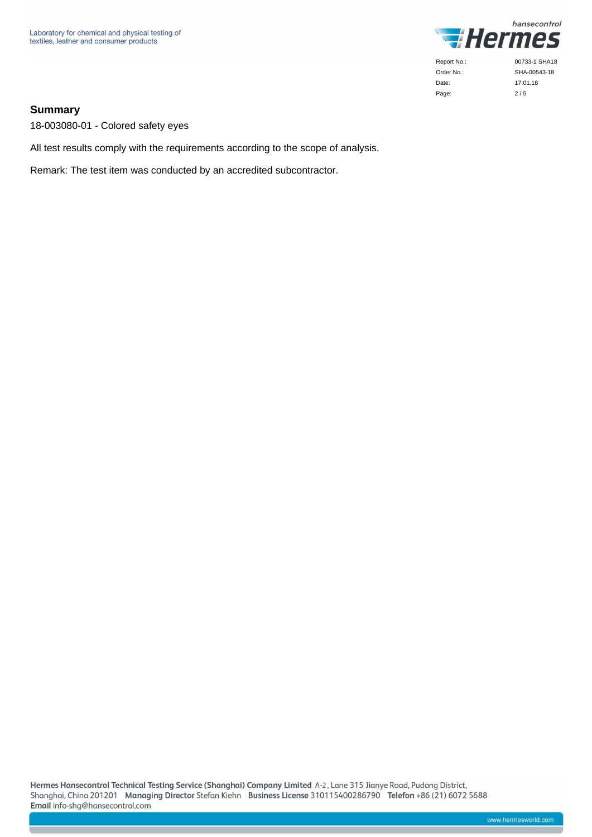

### **Summary**

18-003080-01 - Colored safety eyes

All test results comply with the requirements according to the scope of analysis.

Remark: The test item was conducted by an accredited subcontractor.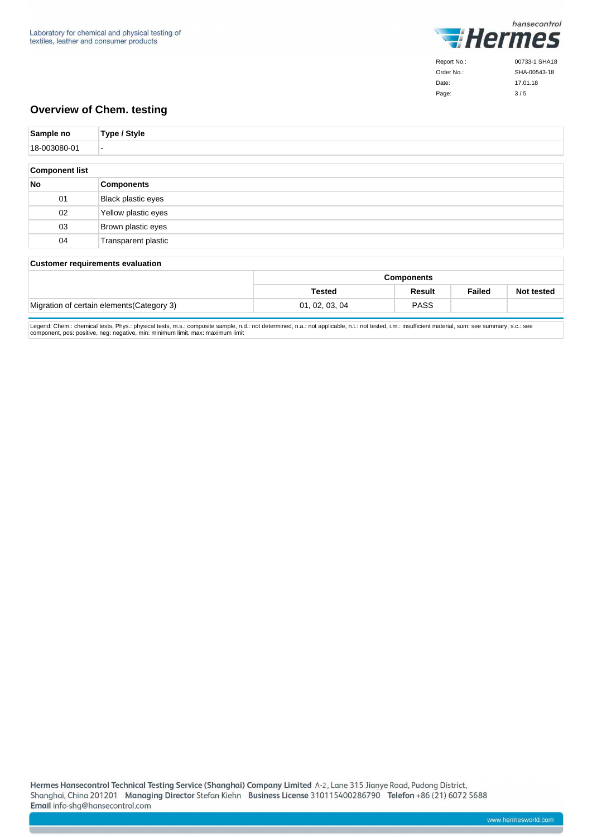

Order No.: Date: Page:

SHA-00543-18 17.01.18  $3/5$ 

### **Overview of Chem. testing**

| Sample no             | Type / Style                            |
|-----------------------|-----------------------------------------|
| 18-003080-01          | $\overline{\phantom{a}}$                |
|                       |                                         |
| <b>Component list</b> |                                         |
| <b>No</b>             | <b>Components</b>                       |
| 01                    | Black plastic eyes                      |
| 02                    | Yellow plastic eyes                     |
| 03                    | Brown plastic eyes                      |
| 04                    | Transparent plastic                     |
|                       |                                         |
|                       | <b>Customer requirements evaluation</b> |

### **Components Tested Result Failed Not tested** Migration of certain elements(Category 3) 01, 02, 03, 04 PASS

Legend: Chem.: chemical tests, Phys.: physical tests, m.s.: composite sample, n.d.: not determined, n.a.: not applicable, n.t.: not tested, i.m.: insufficient material, sum: see summary, s.c.: see<br>component, pos: positive,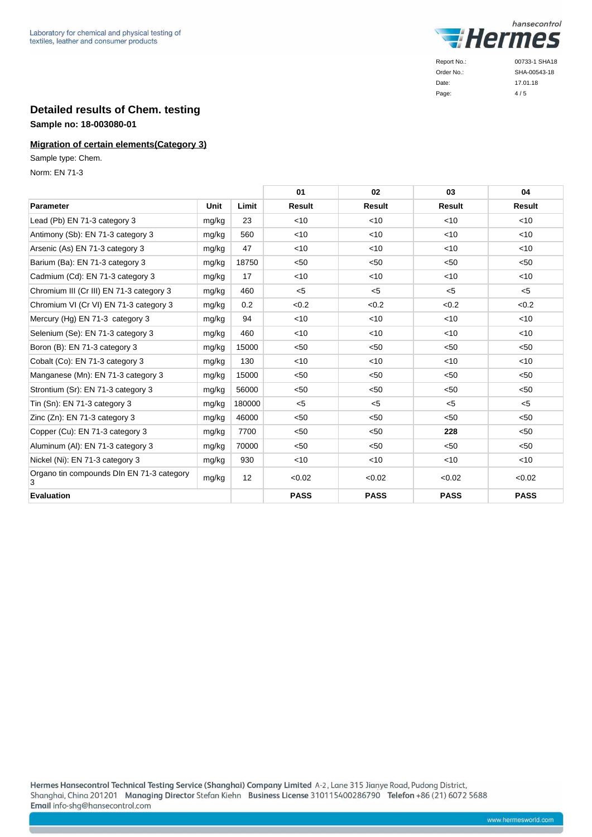

Page:

## 17.01.18  $4/5$

### **Detailed results of Chem. testing Sample no: 18-003080-01**

### **Migration of certain elements(Category 3)**

Sample type: Chem.

Norm: EN 71-3

|                                                |             |        | 01            | 02            | 03            | 04            |
|------------------------------------------------|-------------|--------|---------------|---------------|---------------|---------------|
| Parameter                                      | <b>Unit</b> | Limit  | <b>Result</b> | <b>Result</b> | <b>Result</b> | <b>Result</b> |
| Lead (Pb) EN 71-3 category 3                   | mg/kg       | 23     | < 10          | < 10          | < 10          | $<$ 10        |
| Antimony (Sb): EN 71-3 category 3              | mg/kg       | 560    | <10           | $<$ 10        | < 10          | $<$ 10        |
| Arsenic (As) EN 71-3 category 3                | mg/kg       | 47     | < 10          | $<$ 10        | < 10          | $<$ 10        |
| Barium (Ba): EN 71-3 category 3                | mg/kg       | 18750  | < 50          | < 50          | < 50          | < 50          |
| Cadmium (Cd): EN 71-3 category 3               | mg/kg       | 17     | <10           | $<$ 10        | $<$ 10        | $<$ 10        |
| Chromium III (Cr III) EN 71-3 category 3       | mg/kg       | 460    | $5$           | $<$ 5         | $<$ 5         | $<$ 5         |
| Chromium VI (Cr VI) EN 71-3 category 3         | mg/kg       | 0.2    | <0.2          | < 0.2         | < 0.2         | < 0.2         |
| Mercury (Hg) EN 71-3 category 3                | mg/kg       | 94     | <10           | $<$ 10        | < 10          | <10           |
| Selenium (Se): EN 71-3 category 3              | mg/kg       | 460    | < 10          | $<$ 10        | < 10          | $<$ 10        |
| Boron (B): EN 71-3 category 3                  | mg/kg       | 15000  | < 50          | < 50          | < 50          | < 50          |
| Cobalt (Co): EN 71-3 category 3                | mg/kg       | 130    | < 10          | $<$ 10        | < 10          | $<$ 10        |
| Manganese (Mn): EN 71-3 category 3             | mg/kg       | 15000  | < 50          | < 50          | < 50          | < 50          |
| Strontium (Sr): EN 71-3 category 3             | mg/kg       | 56000  | < 50          | < 50          | < 50          | < 50          |
| Tin (Sn): EN 71-3 category 3                   | mg/kg       | 180000 | $<$ 5         | $<$ 5         | $<$ 5         | $<$ 5         |
| Zinc (Zn): EN 71-3 category 3                  | mg/kg       | 46000  | < 50          | < 50          | $50$          | $50$          |
| Copper (Cu): EN 71-3 category 3                | mg/kg       | 7700   | < 50          | < 50          | 228           | < 50          |
| Aluminum (AI): EN 71-3 category 3              | mg/kg       | 70000  | < 50          | < 50          | < 50          | < 50          |
| Nickel (Ni): EN 71-3 category 3                | mg/kg       | 930    | < 10          | $<$ 10        | $<$ 10        | $<$ 10        |
| Organo tin compounds DIn EN 71-3 category<br>3 | mg/kg       | 12     | < 0.02        | < 0.02        | < 0.02        | < 0.02        |
| <b>Evaluation</b>                              |             |        | <b>PASS</b>   | <b>PASS</b>   | <b>PASS</b>   | <b>PASS</b>   |